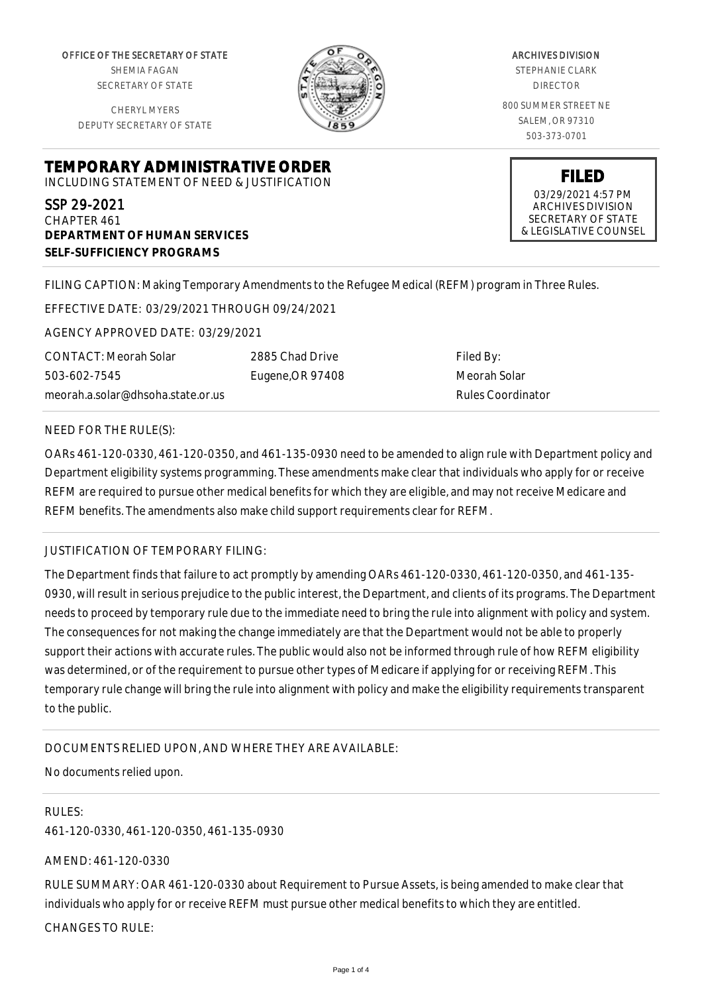OFFICE OF THE SECRETARY OF STATE SHEMIA FAGAN SECRETARY OF STATE

CHERYL MYERS DEPUTY SECRETARY OF STATE



ARCHIVES DIVISION STEPHANIE CLARK DIRECTOR 800 SUMMER STREET NE SALEM, OR 97310 503-373-0701

**TEMPORARY ADMINISTRATIVE ORDER** INCLUDING STATEMENT OF NEED & JUSTIFICATION

SSP 29-2021 CHAPTER 461 **DEPARTMENT OF HUMAN SERVICES SELF-SUFFICIENCY PROGRAMS**

**FILED** 03/29/2021 4:57 PM ARCHIVES DIVISION SECRETARY OF STATE

& LEGISLATIVE COUNSEL

FILING CAPTION: Making Temporary Amendments to the Refugee Medical (REFM) program in Three Rules.

EFFECTIVE DATE: 03/29/2021 THROUGH 09/24/2021

AGENCY APPROVED DATE: 03/29/2021

CONTACT: Meorah Solar 503-602-7545 meorah.a.solar@dhsoha.state.or.us 2885 Chad Drive Eugene,OR 97408

Filed By: Meorah Solar Rules Coordinator

# NEED FOR THE RULE(S):

OARs 461-120-0330, 461-120-0350, and 461-135-0930 need to be amended to align rule with Department policy and Department eligibility systems programming. These amendments make clear that individuals who apply for or receive REFM are required to pursue other medical benefits for which they are eligible, and may not receive Medicare and REFM benefits. The amendments also make child support requirements clear for REFM.

# JUSTIFICATION OF TEMPORARY FILING:

The Department finds that failure to act promptly by amending OARs 461-120-0330, 461-120-0350, and 461-135- 0930, will result in serious prejudice to the public interest, the Department, and clients of its programs. The Department needs to proceed by temporary rule due to the immediate need to bring the rule into alignment with policy and system. The consequences for not making the change immediately are that the Department would not be able to properly support their actions with accurate rules. The public would also not be informed through rule of how REFM eligibility was determined, or of the requirement to pursue other types of Medicare if applying for or receiving REFM. This temporary rule change will bring the rule into alignment with policy and make the eligibility requirements transparent to the public.

# DOCUMENTS RELIED UPON, AND WHERE THEY ARE AVAILABLE:

No documents relied upon.

#### RULES:

461-120-0330, 461-120-0350, 461-135-0930

AMEND: 461-120-0330

RULE SUMMARY: OAR 461-120-0330 about Requirement to Pursue Assets, is being amended to make clear that individuals who apply for or receive REFM must pursue other medical benefits to which they are entitled. CHANGES TO RULE: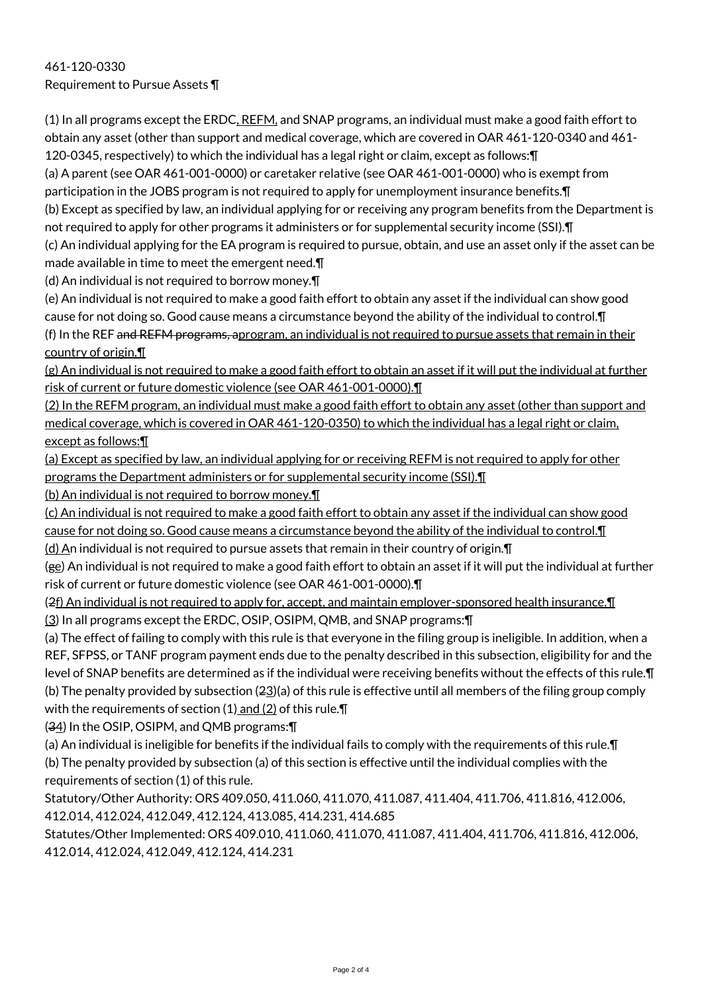(1) In all programs except the ERDC, REFM, and SNAP programs, an individual must make a good faith effort to obtain any asset (other than support and medical coverage, which are covered in OAR 461-120-0340 and 461- 120-0345, respectively) to which the individual has a legal right or claim, except as follows:¶

(a) A parent (see OAR 461-001-0000) or caretaker relative (see OAR 461-001-0000) who is exempt from participation in the JOBS program is not required to apply for unemployment insurance benefits.¶

(b) Except as specified by law, an individual applying for or receiving any program benefits from the Department is not required to apply for other programs it administers or for supplemental security income (SSI).¶

(c) An individual applying for the EA program is required to pursue, obtain, and use an asset only if the asset can be made available in time to meet the emergent need.¶

(d) An individual is not required to borrow money.¶

(e) An individual is not required to make a good faith effort to obtain any asset if the individual can show good cause for not doing so. Good cause means a circumstance beyond the ability of the individual to control.¶ (f) In the REF and REFM programs, aprogram, an individual is not required to pursue assets that remain in their country of origin.¶

(g) An individual is not required to make a good faith effort to obtain an asset if it will put the individual at further risk of current or future domestic violence (see OAR 461-001-0000).¶

(2) In the REFM program, an individual must make a good faith effort to obtain any asset (other than support and medical coverage, which is covered in OAR 461-120-0350) to which the individual has a legal right or claim, except as follows:¶

(a) Except as specified by law, an individual applying for or receiving REFM is not required to apply for other programs the Department administers or for supplemental security income (SSI).¶

(b) An individual is not required to borrow money.¶

(c) An individual is not required to make a good faith effort to obtain any asset if the individual can show good cause for not doing so. Good cause means a circumstance beyond the ability of the individual to control. I

 $(d)$  An individual is not required to pursue assets that remain in their country of origin. $\P$ 

(ge) An individual is not required to make a good faith effort to obtain an asset if it will put the individual at further risk of current or future domestic violence (see OAR 461-001-0000).¶

(2f) An individual is not required to apply for, accept, and maintain employer-sponsored health insurance.¶ (3) In all programs except the ERDC, OSIP, OSIPM, QMB, and SNAP programs:¶

(a) The effect of failing to comply with this rule is that everyone in the filing group is ineligible. In addition, when a REF, SFPSS, or TANF program payment ends due to the penalty described in this subsection, eligibility for and the level of SNAP benefits are determined as if the individual were receiving benefits without the effects of this rule.¶ (b) The penalty provided by subsection (23)(a) of this rule is effective until all members of the filing group comply with the requirements of section  $(1)$  and  $(2)$  of this rule. $\P$ 

(34) In the OSIP, OSIPM, and QMB programs:¶

(a) An individual is ineligible for benefits if the individual fails to comply with the requirements of this rule.¶ (b) The penalty provided by subsection (a) of this section is effective until the individual complies with the requirements of section (1) of this rule.

Statutory/Other Authority: ORS 409.050, 411.060, 411.070, 411.087, 411.404, 411.706, 411.816, 412.006, 412.014, 412.024, 412.049, 412.124, 413.085, 414.231, 414.685

Statutes/Other Implemented: ORS 409.010, 411.060, 411.070, 411.087, 411.404, 411.706, 411.816, 412.006, 412.014, 412.024, 412.049, 412.124, 414.231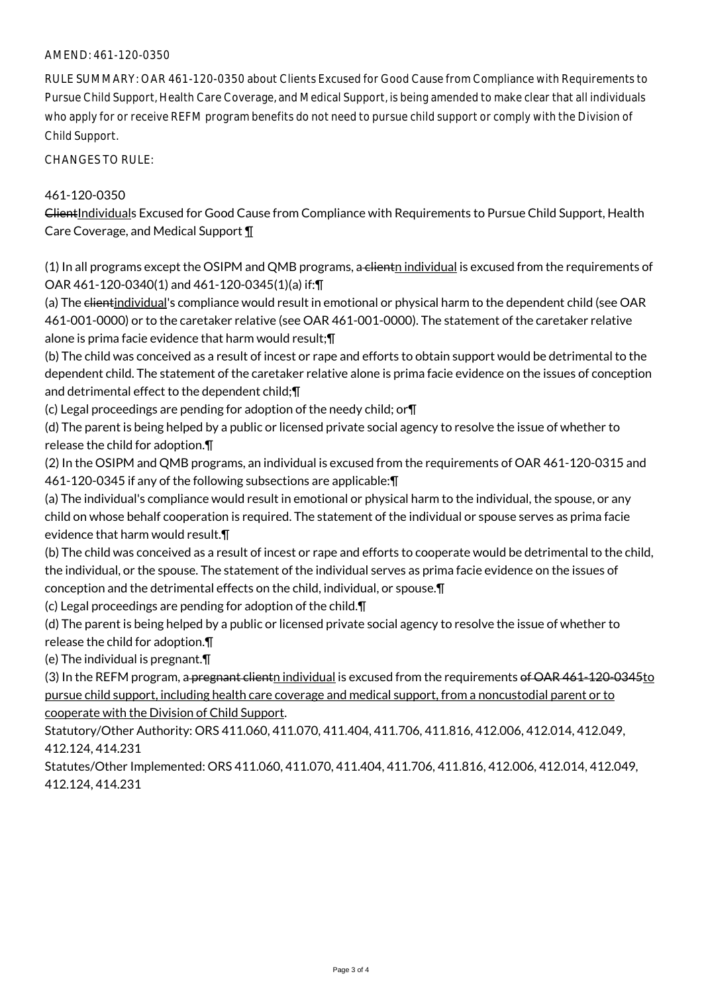# AMEND: 461-120-0350

RULE SUMMARY: OAR 461-120-0350 about Clients Excused for Good Cause from Compliance with Requirements to Pursue Child Support, Health Care Coverage, and Medical Support, is being amended to make clear that all individuals who apply for or receive REFM program benefits do not need to pursue child support or comply with the Division of Child Support.

CHANGES TO RULE:

### 461-120-0350

ClientIndividuals Excused for Good Cause from Compliance with Requirements to Pursue Child Support, Health Care Coverage, and Medical Support ¶

(1) In all programs except the OSIPM and QMB programs, a clienth individual is excused from the requirements of OAR 461-120-0340(1) and 461-120-0345(1)(a) if:¶

(a) The clientindividual's compliance would result in emotional or physical harm to the dependent child (see OAR 461-001-0000) or to the caretaker relative (see OAR 461-001-0000). The statement of the caretaker relative alone is prima facie evidence that harm would result;¶

(b) The child was conceived as a result of incest or rape and efforts to obtain support would be detrimental to the dependent child. The statement of the caretaker relative alone is prima facie evidence on the issues of conception and detrimental effect to the dependent child;¶

(c) Legal proceedings are pending for adoption of the needy child; or¶

(d) The parent is being helped by a public or licensed private social agency to resolve the issue of whether to release the child for adoption.¶

(2) In the OSIPM and QMB programs, an individual is excused from the requirements of OAR 461-120-0315 and 461-120-0345 if any of the following subsections are applicable:¶

(a) The individual's compliance would result in emotional or physical harm to the individual, the spouse, or any child on whose behalf cooperation is required. The statement of the individual or spouse serves as prima facie evidence that harm would result.¶

(b) The child was conceived as a result of incest or rape and efforts to cooperate would be detrimental to the child, the individual, or the spouse. The statement of the individual serves as prima facie evidence on the issues of conception and the detrimental effects on the child, individual, or spouse.¶

(c) Legal proceedings are pending for adoption of the child.¶

(d) The parent is being helped by a public or licensed private social agency to resolve the issue of whether to release the child for adoption.¶

(e) The individual is pregnant.¶

(3) In the REFM program, a pregnant clientn individual is excused from the requirements of OAR 461-120-0345to pursue child support, including health care coverage and medical support, from a noncustodial parent or to cooperate with the Division of Child Support.

Statutory/Other Authority: ORS 411.060, 411.070, 411.404, 411.706, 411.816, 412.006, 412.014, 412.049, 412.124, 414.231

Statutes/Other Implemented: ORS 411.060, 411.070, 411.404, 411.706, 411.816, 412.006, 412.014, 412.049, 412.124, 414.231